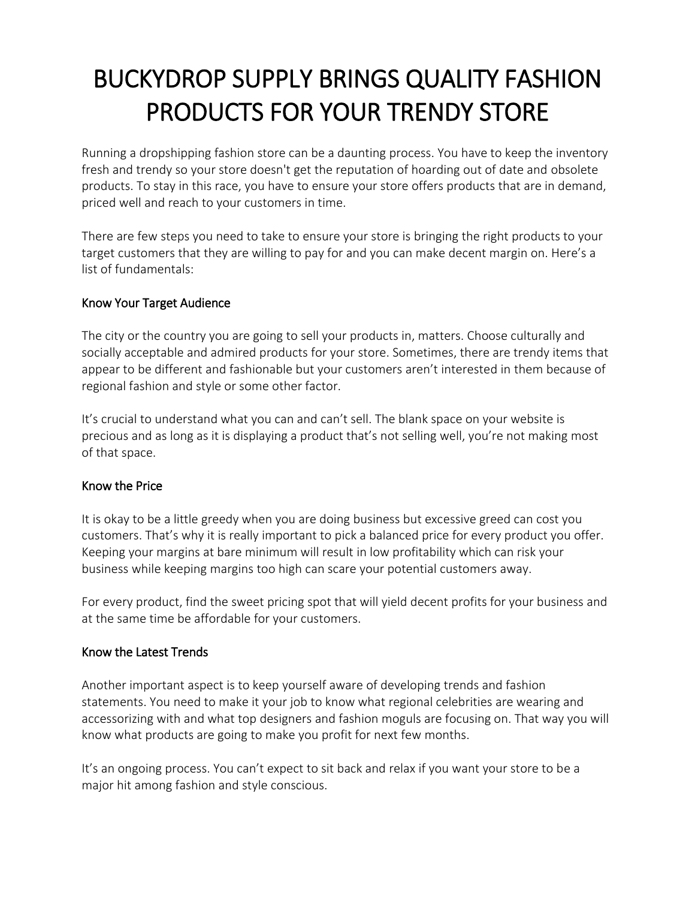# BUCKYDROP SUPPLY BRINGS QUALITY FASHION PRODUCTS FOR YOUR TRENDY STORE

Running a dropshipping fashion store can be a daunting process. You have to keep the inventory fresh and trendy so your store doesn't get the reputation of hoarding out of date and obsolete products. To stay in this race, you have to ensure your store offers products that are in demand, priced well and reach to your customers in time.

There are few steps you need to take to ensure your store is bringing the right products to your target customers that they are willing to pay for and you can make decent margin on. Here's a list of fundamentals:

### Know Your Target Audience

The city or the country you are going to sell your products in, matters. Choose culturally and socially acceptable and admired products for your store. Sometimes, there are trendy items that appear to be different and fashionable but your customers aren't interested in them because of regional fashion and style or some other factor.

It's crucial to understand what you can and can't sell. The blank space on your website is precious and as long as it is displaying a product that's not selling well, you're not making most of that space.

#### Know the Price

It is okay to be a little greedy when you are doing business but excessive greed can cost you customers. That's why it is really important to pick a balanced price for every product you offer. Keeping your margins at bare minimum will result in low profitability which can risk your business while keeping margins too high can scare your potential customers away.

For every product, find the sweet pricing spot that will yield decent profits for your business and at the same time be affordable for your customers.

## Know the Latest Trends

Another important aspect is to keep yourself aware of developing trends and fashion statements. You need to make it your job to know what regional celebrities are wearing and accessorizing with and what top designers and fashion moguls are focusing on. That way you will know what products are going to make you profit for next few months.

It's an ongoing process. You can't expect to sit back and relax if you want your store to be a major hit among fashion and style conscious.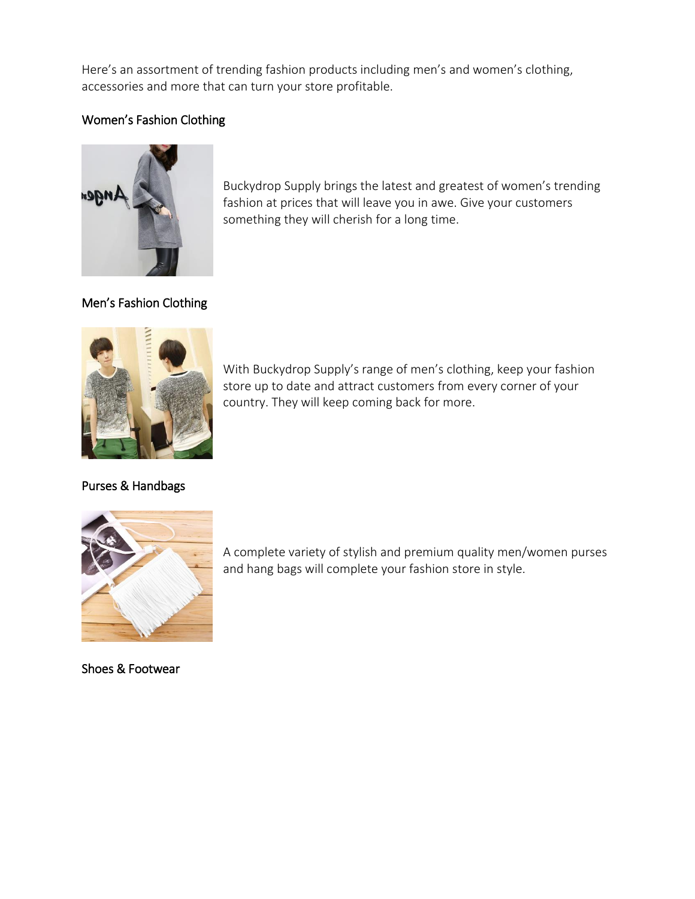Here's an assortment of trending fashion products including men's and women's clothing, accessories and more that can turn your store profitable.

## Women's Fashion Clothing



Buckydrop Supply brings the latest and greatest of women's trending fashion at prices that will leave you in awe. Give your customers something they will cherish for a long time.

Men's Fashion Clothing



With Buckydrop Supply's range of men's clothing, keep your fashion store up to date and attract customers from every corner of your country. They will keep coming back for more.

Purses & Handbags



A complete variety of stylish and premium quality men/women purses and hang bags will complete your fashion store in style.

Shoes & Footwear